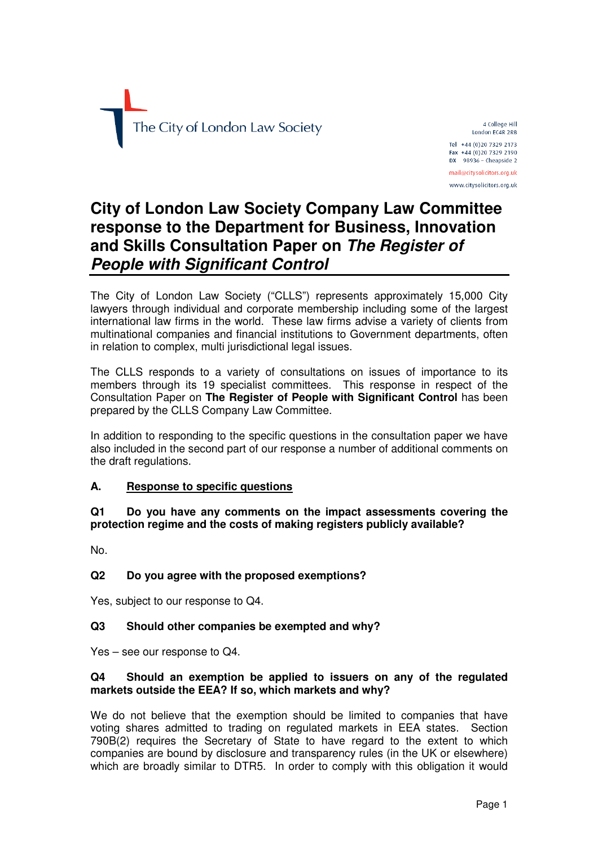

4 College Hill London EC4R 2RB Tel +44 (0)20 7329 2173 Fax +44 (0)20 7329 2190  $DX$  98936 - Cheapside 2 mail@citysolicitors.org.uk www.citysolicitors.org.uk

# **City of London Law Society Company Law Committee response to the Department for Business, Innovation and Skills Consultation Paper on The Register of People with Significant Control**

The City of London Law Society ("CLLS") represents approximately 15,000 City lawyers through individual and corporate membership including some of the largest international law firms in the world. These law firms advise a variety of clients from multinational companies and financial institutions to Government departments, often in relation to complex, multi jurisdictional legal issues.

The CLLS responds to a variety of consultations on issues of importance to its members through its 19 specialist committees. This response in respect of the Consultation Paper on **The Register of People with Significant Control** has been prepared by the CLLS Company Law Committee.

In addition to responding to the specific questions in the consultation paper we have also included in the second part of our response a number of additional comments on the draft regulations.

# **A. Response to specific questions**

#### **Q1 Do you have any comments on the impact assessments covering the protection regime and the costs of making registers publicly available?**

No.

# **Q2 Do you agree with the proposed exemptions?**

Yes, subject to our response to Q4.

# **Q3 Should other companies be exempted and why?**

Yes – see our response to Q4.

# **Q4 Should an exemption be applied to issuers on any of the regulated markets outside the EEA? If so, which markets and why?**

We do not believe that the exemption should be limited to companies that have voting shares admitted to trading on regulated markets in EEA states. Section 790B(2) requires the Secretary of State to have regard to the extent to which companies are bound by disclosure and transparency rules (in the UK or elsewhere) which are broadly similar to DTR5. In order to comply with this obligation it would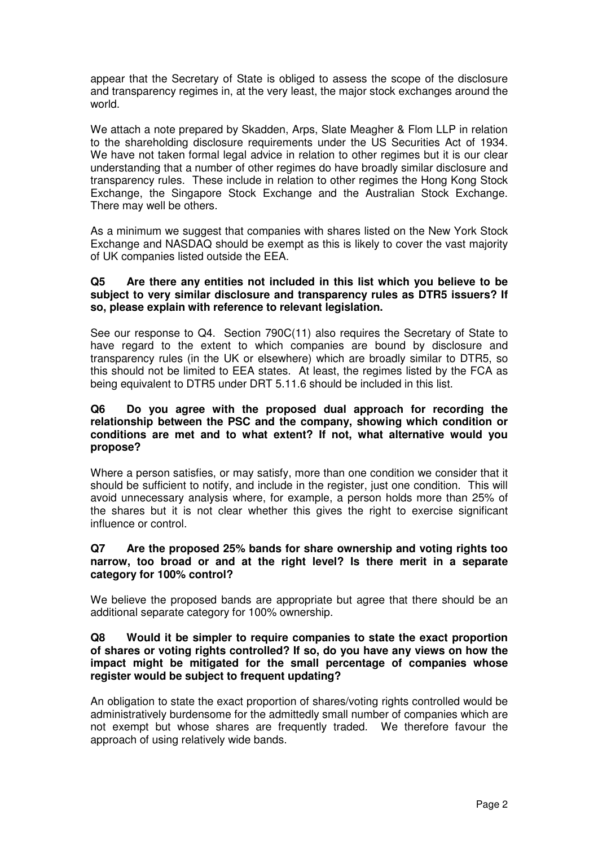appear that the Secretary of State is obliged to assess the scope of the disclosure and transparency regimes in, at the very least, the major stock exchanges around the world.

We attach a note prepared by Skadden, Arps, Slate Meagher & Flom LLP in relation to the shareholding disclosure requirements under the US Securities Act of 1934. We have not taken formal legal advice in relation to other regimes but it is our clear understanding that a number of other regimes do have broadly similar disclosure and transparency rules. These include in relation to other regimes the Hong Kong Stock Exchange, the Singapore Stock Exchange and the Australian Stock Exchange. There may well be others.

As a minimum we suggest that companies with shares listed on the New York Stock Exchange and NASDAQ should be exempt as this is likely to cover the vast majority of UK companies listed outside the EEA.

### **Q5 Are there any entities not included in this list which you believe to be subject to very similar disclosure and transparency rules as DTR5 issuers? If so, please explain with reference to relevant legislation.**

See our response to Q4. Section 790C(11) also requires the Secretary of State to have regard to the extent to which companies are bound by disclosure and transparency rules (in the UK or elsewhere) which are broadly similar to DTR5, so this should not be limited to EEA states. At least, the regimes listed by the FCA as being equivalent to DTR5 under DRT 5.11.6 should be included in this list.

### **Q6 Do you agree with the proposed dual approach for recording the relationship between the PSC and the company, showing which condition or conditions are met and to what extent? If not, what alternative would you propose?**

Where a person satisfies, or may satisfy, more than one condition we consider that it should be sufficient to notify, and include in the register, just one condition. This will avoid unnecessary analysis where, for example, a person holds more than 25% of the shares but it is not clear whether this gives the right to exercise significant influence or control.

#### **Q7 Are the proposed 25% bands for share ownership and voting rights too narrow, too broad or and at the right level? Is there merit in a separate category for 100% control?**

We believe the proposed bands are appropriate but agree that there should be an additional separate category for 100% ownership.

#### **Q8 Would it be simpler to require companies to state the exact proportion of shares or voting rights controlled? If so, do you have any views on how the impact might be mitigated for the small percentage of companies whose register would be subject to frequent updating?**

An obligation to state the exact proportion of shares/voting rights controlled would be administratively burdensome for the admittedly small number of companies which are not exempt but whose shares are frequently traded. We therefore favour the approach of using relatively wide bands.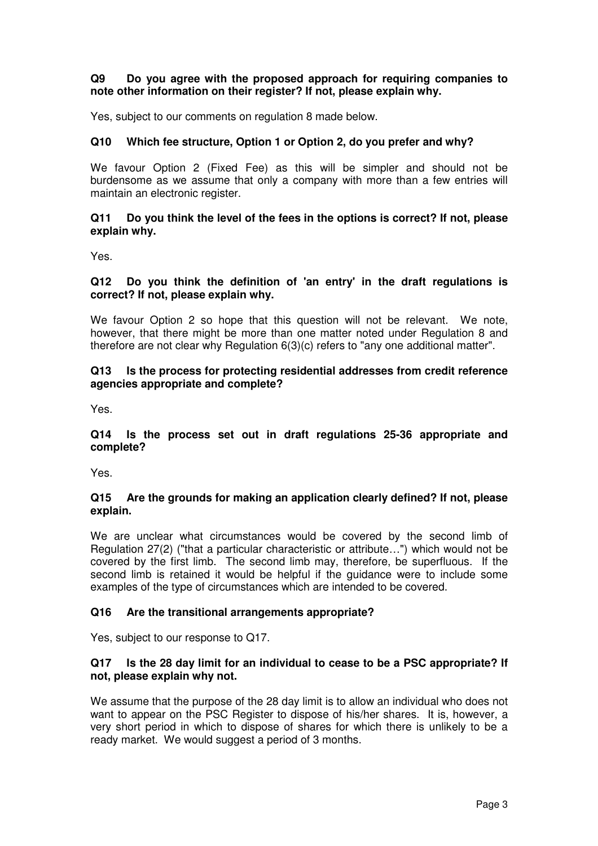### **Q9 Do you agree with the proposed approach for requiring companies to note other information on their register? If not, please explain why.**

Yes, subject to our comments on regulation 8 made below.

### **Q10 Which fee structure, Option 1 or Option 2, do you prefer and why?**

We favour Option 2 (Fixed Fee) as this will be simpler and should not be burdensome as we assume that only a company with more than a few entries will maintain an electronic register.

#### **Q11 Do you think the level of the fees in the options is correct? If not, please explain why.**

Yes.

### **Q12 Do you think the definition of 'an entry' in the draft regulations is correct? If not, please explain why.**

We favour Option 2 so hope that this question will not be relevant. We note, however, that there might be more than one matter noted under Regulation 8 and therefore are not clear why Regulation 6(3)(c) refers to "any one additional matter".

#### **Q13 Is the process for protecting residential addresses from credit reference agencies appropriate and complete?**

Yes.

#### **Q14 Is the process set out in draft regulations 25-36 appropriate and complete?**

Yes.

#### **Q15 Are the grounds for making an application clearly defined? If not, please explain.**

We are unclear what circumstances would be covered by the second limb of Regulation 27(2) ("that a particular characteristic or attribute…") which would not be covered by the first limb. The second limb may, therefore, be superfluous. If the second limb is retained it would be helpful if the guidance were to include some examples of the type of circumstances which are intended to be covered.

# **Q16 Are the transitional arrangements appropriate?**

Yes, subject to our response to Q17.

#### **Q17 Is the 28 day limit for an individual to cease to be a PSC appropriate? If not, please explain why not.**

We assume that the purpose of the 28 day limit is to allow an individual who does not want to appear on the PSC Register to dispose of his/her shares. It is, however, a very short period in which to dispose of shares for which there is unlikely to be a ready market. We would suggest a period of 3 months.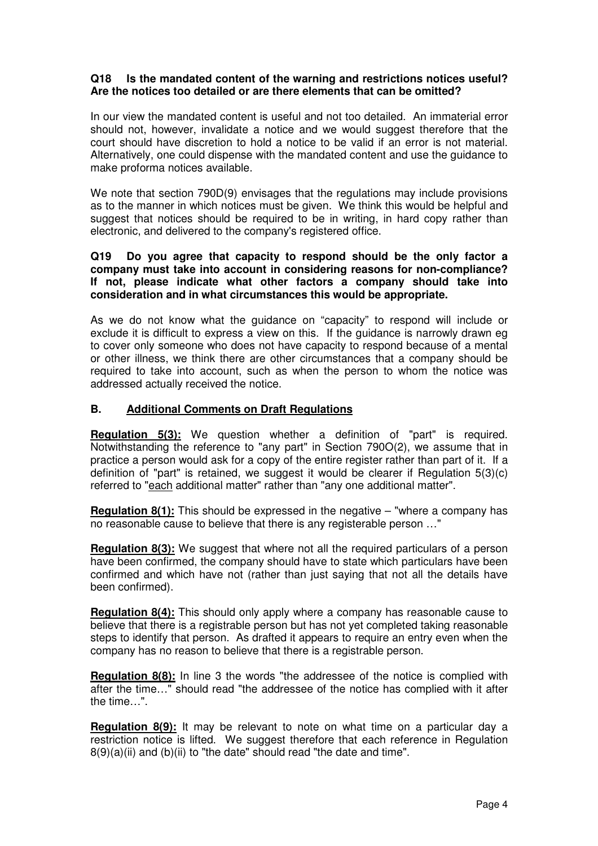#### **Q18 Is the mandated content of the warning and restrictions notices useful? Are the notices too detailed or are there elements that can be omitted?**

In our view the mandated content is useful and not too detailed. An immaterial error should not, however, invalidate a notice and we would suggest therefore that the court should have discretion to hold a notice to be valid if an error is not material. Alternatively, one could dispense with the mandated content and use the guidance to make proforma notices available.

We note that section 790D(9) envisages that the regulations may include provisions as to the manner in which notices must be given. We think this would be helpful and suggest that notices should be required to be in writing, in hard copy rather than electronic, and delivered to the company's registered office.

#### **Q19 Do you agree that capacity to respond should be the only factor a company must take into account in considering reasons for non-compliance? If not, please indicate what other factors a company should take into consideration and in what circumstances this would be appropriate.**

As we do not know what the guidance on "capacity" to respond will include or exclude it is difficult to express a view on this. If the guidance is narrowly drawn eg to cover only someone who does not have capacity to respond because of a mental or other illness, we think there are other circumstances that a company should be required to take into account, such as when the person to whom the notice was addressed actually received the notice.

# **B. Additional Comments on Draft Regulations**

**Regulation 5(3):** We question whether a definition of "part" is required. Notwithstanding the reference to "any part" in Section 790O(2), we assume that in practice a person would ask for a copy of the entire register rather than part of it. If a definition of "part" is retained, we suggest it would be clearer if Regulation 5(3)(c) referred to "each additional matter" rather than "any one additional matter".

**Regulation 8(1):** This should be expressed in the negative – "where a company has no reasonable cause to believe that there is any registerable person …"

**Regulation 8(3):** We suggest that where not all the required particulars of a person have been confirmed, the company should have to state which particulars have been confirmed and which have not (rather than just saying that not all the details have been confirmed).

**Regulation 8(4):** This should only apply where a company has reasonable cause to believe that there is a registrable person but has not yet completed taking reasonable steps to identify that person. As drafted it appears to require an entry even when the company has no reason to believe that there is a registrable person.

**Regulation 8(8):** In line 3 the words "the addressee of the notice is complied with after the time…" should read "the addressee of the notice has complied with it after the time…".

**Regulation 8(9):** It may be relevant to note on what time on a particular day a restriction notice is lifted. We suggest therefore that each reference in Regulation  $8(9)(a)(ii)$  and  $(b)(ii)$  to "the date" should read "the date and time".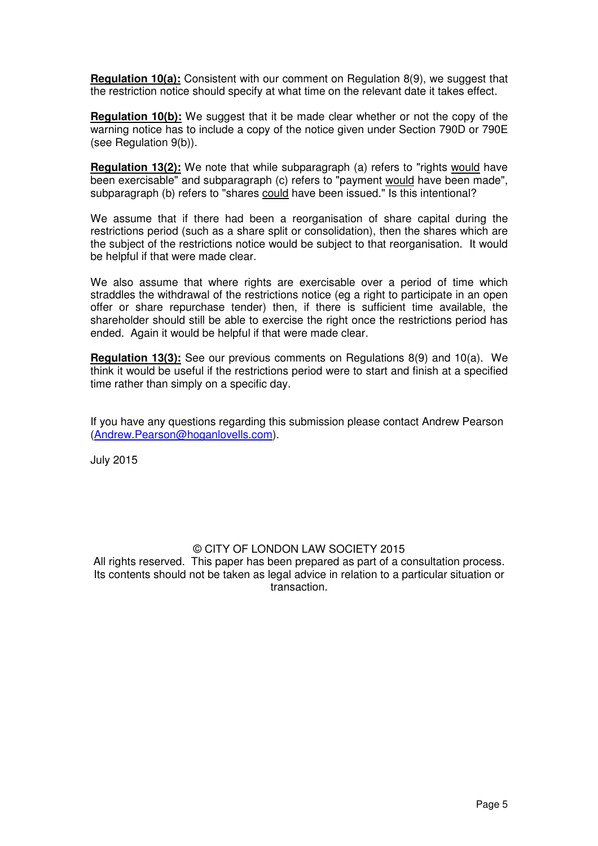**Regulation 10(a):** Consistent with our comment on Regulation 8(9), we suggest that the restriction notice should specify at what time on the relevant date it takes effect.

**Regulation 10(b):** We suggest that it be made clear whether or not the copy of the warning notice has to include a copy of the notice given under Section 790D or 790E (see Regulation 9(b)).

**Regulation 13(2):** We note that while subparagraph (a) refers to "rights would have been exercisable" and subparagraph (c) refers to "payment would have been made", subparagraph (b) refers to "shares could have been issued." Is this intentional?

We assume that if there had been a reorganisation of share capital during the restrictions period (such as a share split or consolidation), then the shares which are the subject of the restrictions notice would be subject to that reorganisation. It would be helpful if that were made clear.

We also assume that where rights are exercisable over a period of time which straddles the withdrawal of the restrictions notice (eg a right to participate in an open offer or share repurchase tender) then, if there is sufficient time available, the shareholder should still be able to exercise the right once the restrictions period has ended. Again it would be helpful if that were made clear.

**Regulation 13(3):** See our previous comments on Regulations 8(9) and 10(a). We think it would be useful if the restrictions period were to start and finish at a specified time rather than simply on a specific day.

If you have any questions regarding this submission please contact Andrew Pearson (Andrew.Pearson@hoganlovells.com).

July 2015

# © CITY OF LONDON LAW SOCIETY 2015

All rights reserved. This paper has been prepared as part of a consultation process. Its contents should not be taken as legal advice in relation to a particular situation or transaction.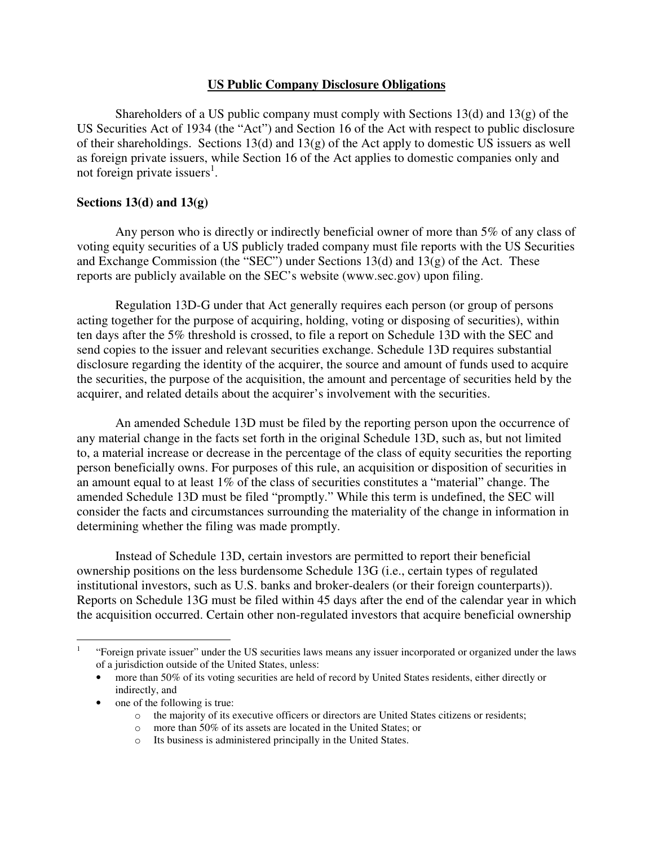#### **US Public Company Disclosure Obligations**

Shareholders of a US public company must comply with Sections 13(d) and 13(g) of the US Securities Act of 1934 (the "Act") and Section 16 of the Act with respect to public disclosure of their shareholdings. Sections 13(d) and 13(g) of the Act apply to domestic US issuers as well as foreign private issuers, while Section 16 of the Act applies to domestic companies only and not foreign private issuers<sup>1</sup>.

# **Sections 13(d) and 13(g)**

Any person who is directly or indirectly beneficial owner of more than 5% of any class of voting equity securities of a US publicly traded company must file reports with the US Securities and Exchange Commission (the "SEC") under Sections 13(d) and 13(g) of the Act. These reports are publicly available on the SEC's website (www.sec.gov) upon filing.

Regulation 13D-G under that Act generally requires each person (or group of persons acting together for the purpose of acquiring, holding, voting or disposing of securities), within ten days after the 5% threshold is crossed, to file a report on Schedule 13D with the SEC and send copies to the issuer and relevant securities exchange. Schedule 13D requires substantial disclosure regarding the identity of the acquirer, the source and amount of funds used to acquire the securities, the purpose of the acquisition, the amount and percentage of securities held by the acquirer, and related details about the acquirer's involvement with the securities.

An amended Schedule 13D must be filed by the reporting person upon the occurrence of any material change in the facts set forth in the original Schedule 13D, such as, but not limited to, a material increase or decrease in the percentage of the class of equity securities the reporting person beneficially owns. For purposes of this rule, an acquisition or disposition of securities in an amount equal to at least 1% of the class of securities constitutes a "material" change. The amended Schedule 13D must be filed "promptly." While this term is undefined, the SEC will consider the facts and circumstances surrounding the materiality of the change in information in determining whether the filing was made promptly.

Instead of Schedule 13D, certain investors are permitted to report their beneficial ownership positions on the less burdensome Schedule 13G (i.e., certain types of regulated institutional investors, such as U.S. banks and broker-dealers (or their foreign counterparts)). Reports on Schedule 13G must be filed within 45 days after the end of the calendar year in which the acquisition occurred. Certain other non-regulated investors that acquire beneficial ownership

- one of the following is true:
	- o the majority of its executive officers or directors are United States citizens or residents;
	- o more than 50% of its assets are located in the United States; or
	- o Its business is administered principally in the United States.

 $\overline{a}$ 1 "Foreign private issuer" under the US securities laws means any issuer incorporated or organized under the laws of a jurisdiction outside of the United States, unless:

<sup>•</sup> more than 50% of its voting securities are held of record by United States residents, either directly or indirectly, and